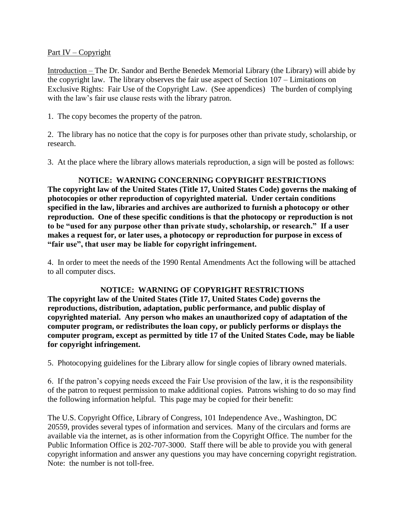### Part IV – Copyright

Introduction – The Dr. Sandor and Berthe Benedek Memorial Library (the Library) will abide by the copyright law. The library observes the fair use aspect of Section 107 – Limitations on Exclusive Rights: Fair Use of the Copyright Law. (See appendices) The burden of complying with the law's fair use clause rests with the library patron.

1. The copy becomes the property of the patron.

2. The library has no notice that the copy is for purposes other than private study, scholarship, or research.

3. At the place where the library allows materials reproduction, a sign will be posted as follows:

# **NOTICE: WARNING CONCERNING COPYRIGHT RESTRICTIONS**

**The copyright law of the United States (Title 17, United States Code) governs the making of photocopies or other reproduction of copyrighted material. Under certain conditions specified in the law, libraries and archives are authorized to furnish a photocopy or other reproduction. One of these specific conditions is that the photocopy or reproduction is not to be "used for any purpose other than private study, scholarship, or research." If a user makes a request for, or later uses, a photocopy or reproduction for purpose in excess of "fair use", that user may be liable for copyright infringement.**

4. In order to meet the needs of the 1990 Rental Amendments Act the following will be attached to all computer discs.

#### **NOTICE: WARNING OF COPYRIGHT RESTRICTIONS**

**The copyright law of the United States (Title 17, United States Code) governs the reproductions, distribution, adaptation, public performance, and public display of copyrighted material. Any person who makes an unauthorized copy of adaptation of the computer program, or redistributes the loan copy, or publicly performs or displays the computer program, except as permitted by title 17 of the United States Code, may be liable for copyright infringement.**

5. Photocopying guidelines for the Library allow for single copies of library owned materials.

6. If the patron's copying needs exceed the Fair Use provision of the law, it is the responsibility of the patron to request permission to make additional copies. Patrons wishing to do so may find the following information helpful. This page may be copied for their benefit:

The U.S. Copyright Office, Library of Congress, 101 Independence Ave., Washington, DC 20559, provides several types of information and services. Many of the circulars and forms are available via the internet, as is other information from the Copyright Office. The number for the Public Information Office is 202-707-3000. Staff there will be able to provide you with general copyright information and answer any questions you may have concerning copyright registration. Note: the number is not toll-free.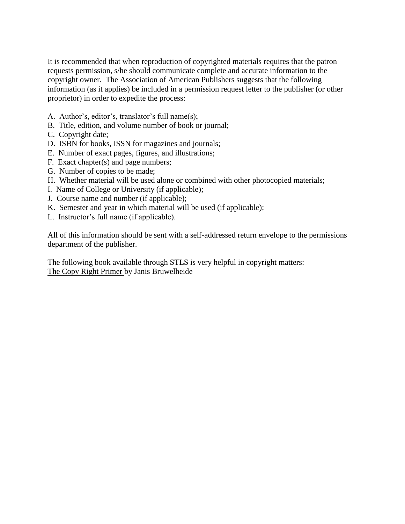It is recommended that when reproduction of copyrighted materials requires that the patron requests permission, s/he should communicate complete and accurate information to the copyright owner. The Association of American Publishers suggests that the following information (as it applies) be included in a permission request letter to the publisher (or other proprietor) in order to expedite the process:

- A. Author's, editor's, translator's full name(s);
- B. Title, edition, and volume number of book or journal;
- C. Copyright date;
- D. ISBN for books, ISSN for magazines and journals;
- E. Number of exact pages, figures, and illustrations;
- F. Exact chapter(s) and page numbers;
- G. Number of copies to be made;
- H. Whether material will be used alone or combined with other photocopied materials;
- I. Name of College or University (if applicable);
- J. Course name and number (if applicable);
- K. Semester and year in which material will be used (if applicable);
- L. Instructor's full name (if applicable).

All of this information should be sent with a self-addressed return envelope to the permissions department of the publisher.

The following book available through STLS is very helpful in copyright matters: The Copy Right Primer by Janis Bruwelheide